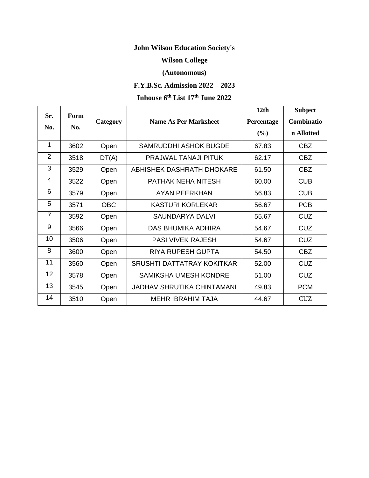## **John Wilson Education Society's**

## **Wilson College**

## **(Autonomous)**

# **F.Y.B.Sc. Admission 2022 – 2023**

#### **Inhouse 6 th List 17th June 2022**

| Sr.            | Form |            |                                   | 12 <sub>th</sub> | <b>Subject</b> |
|----------------|------|------------|-----------------------------------|------------------|----------------|
| No.            | No.  | Category   | <b>Name As Per Marksheet</b>      | Percentage       | Combinatio     |
|                |      |            |                                   | (%)              | n Allotted     |
| 1              | 3602 | Open       | SAMRUDDHI ASHOK BUGDE             | 67.83            | <b>CBZ</b>     |
| $\overline{2}$ | 3518 | DT(A)      | <b>PRAJWAL TANAJI PITUK</b>       | 62.17            | <b>CBZ</b>     |
| 3              | 3529 | Open       | ABHISHEK DASHRATH DHOKARE         | 61.50            | <b>CBZ</b>     |
| 4              | 3522 | Open       | PATHAK NEHA NITESH                | 60.00            | <b>CUB</b>     |
| 6              | 3579 | Open       | <b>AYAN PEERKHAN</b>              | 56.83            | <b>CUB</b>     |
| 5              | 3571 | <b>OBC</b> | <b>KASTURI KORLEKAR</b>           | 56.67            | <b>PCB</b>     |
| $\overline{7}$ | 3592 | Open       | SAUNDARYA DALVI                   | 55.67            | <b>CUZ</b>     |
| 9              | 3566 | Open       | DAS BHUMIKA ADHIRA                | 54.67            | <b>CUZ</b>     |
| 10             | 3506 | Open       | <b>PASI VIVEK RAJESH</b>          | 54.67            | <b>CUZ</b>     |
| 8              | 3600 | Open       | <b>RIYA RUPESH GUPTA</b>          | 54.50            | <b>CBZ</b>     |
| 11             | 3560 | Open       | SRUSHTI DATTATRAY KOKITKAR        | 52.00            | <b>CUZ</b>     |
| 12             | 3578 | Open       | SAMIKSHA UMESH KONDRE             | 51.00            | <b>CUZ</b>     |
| 13             | 3545 | Open       | <b>JADHAV SHRUTIKA CHINTAMANI</b> | 49.83            | <b>PCM</b>     |
| 14             | 3510 | Open       | <b>MEHR IBRAHIM TAJA</b>          | 44.67            | <b>CUZ</b>     |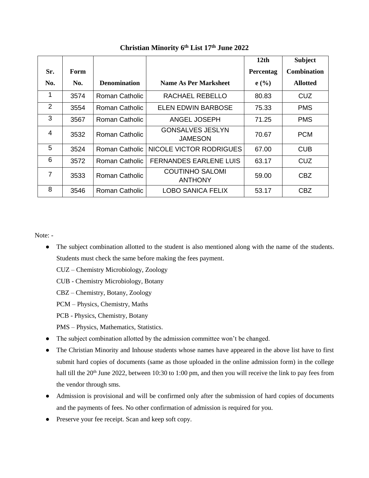|     |      |                     |                                          | 12 <sub>th</sub> | <b>Subject</b>     |
|-----|------|---------------------|------------------------------------------|------------------|--------------------|
| Sr. | Form |                     |                                          | Percentag        | <b>Combination</b> |
| No. | No.  | <b>Denomination</b> | <b>Name As Per Marksheet</b>             | e(%)             | <b>Allotted</b>    |
| 1   | 3574 | Roman Catholic      | RACHAEL REBELLO                          | 80.83            | CUZ.               |
| 2   | 3554 | Roman Catholic      | ELEN EDWIN BARBOSE                       | 75.33            | <b>PMS</b>         |
| 3   | 3567 | Roman Catholic      | ANGEL JOSEPH                             | 71.25            | <b>PMS</b>         |
| 4   | 3532 | Roman Catholic      | <b>GONSALVES JESLYN</b><br>JAMESON       | 70.67            | <b>PCM</b>         |
| 5   | 3524 | Roman Catholic      | NICOLE VICTOR RODRIGUES                  | 67.00            | <b>CUB</b>         |
| 6   | 3572 | Roman Catholic      | <b>FERNANDES EARLENE LUIS</b>            | 63.17            | CUZ.               |
| 7   | 3533 | Roman Catholic      | <b>COUTINHO SALOMI</b><br><b>ANTHONY</b> | 59.00            | CBZ                |
| 8   | 3546 | Roman Catholic      | LOBO SANICA FELIX                        | 53.17            | CBZ                |

### **Christian Minority 6 th List 17 th June 2022**

Note: -

- The subject combination allotted to the student is also mentioned along with the name of the students. Students must check the same before making the fees payment.
	- CUZ Chemistry Microbiology, Zoology
	- CUB Chemistry Microbiology, Botany
	- CBZ Chemistry, Botany, Zoology
	- PCM Physics, Chemistry, Maths
	- PCB Physics, Chemistry, Botany
	- PMS Physics, Mathematics, Statistics.
- The subject combination allotted by the admission committee won't be changed.
- The Christian Minority and Inhouse students whose names have appeared in the above list have to first submit hard copies of documents (same as those uploaded in the online admission form) in the college hall till the 20<sup>th</sup> June 2022, between 10:30 to 1:00 pm, and then you will receive the link to pay fees from the vendor through sms.
- Admission is provisional and will be confirmed only after the submission of hard copies of documents and the payments of fees. No other confirmation of admission is required for you.
- Preserve your fee receipt. Scan and keep soft copy.